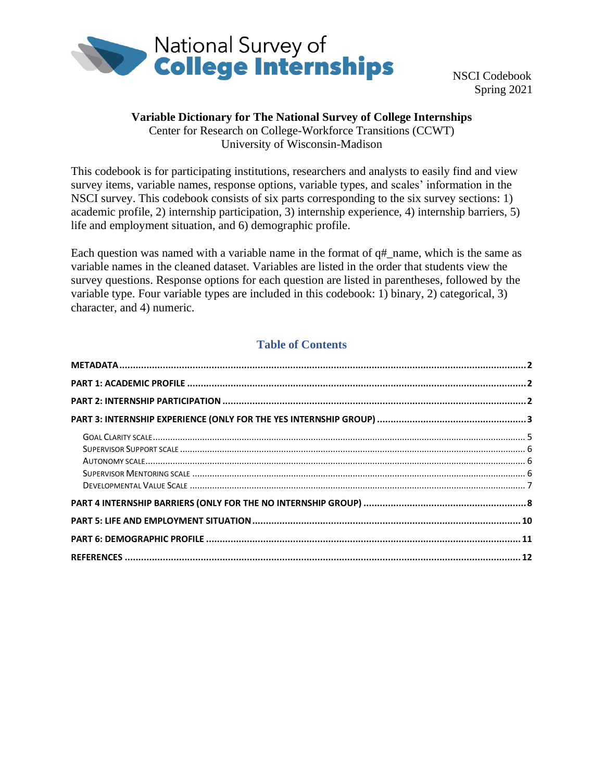

 NSCI Codebook Spring 2021

### **Variable Dictionary for The National Survey of College Internships**

Center for Research on College-Workforce Transitions (CCWT) University of Wisconsin-Madison

This codebook is for participating institutions, researchers and analysts to easily find and view survey items, variable names, response options, variable types, and scales' information in the NSCI survey. This codebook consists of six parts corresponding to the six survey sections: 1) academic profile, 2) internship participation, 3) internship experience, 4) internship barriers, 5) life and employment situation, and 6) demographic profile.

Each question was named with a variable name in the format of q#\_name, which is the same as variable names in the cleaned dataset. Variables are listed in the order that students view the survey questions. Response options for each question are listed in parentheses, followed by the variable type. Four variable types are included in this codebook: 1) binary, 2) categorical, 3) character, and 4) numeric.

### **Table of Contents**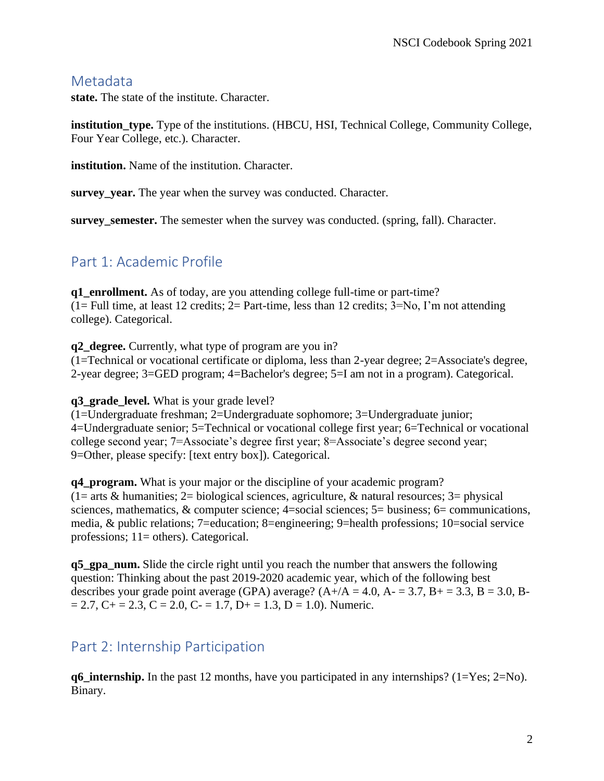## <span id="page-1-0"></span>**Metadata**

**state.** The state of the institute. Character.

**institution\_type.** Type of the institutions. (HBCU, HSI, Technical College, Community College, Four Year College, etc.). Character.

**institution.** Name of the institution. Character.

**survey\_year.** The year when the survey was conducted. Character.

**survey** semester. The semester when the survey was conducted. (spring, fall). Character.

# <span id="page-1-1"></span>Part 1: Academic Profile

**q1** enrollment. As of today, are you attending college full-time or part-time?  $(1 = Full time, at least 12 credits; 2 = Part-time, less than 12 credits; 3 = No, I'm not attending)$ college). Categorical.

**q2\_degree.** Currently, what type of program are you in? (1=Technical or vocational certificate or diploma, less than 2-year degree; 2=Associate's degree, 2-year degree; 3=GED program; 4=Bachelor's degree; 5=I am not in a program). Categorical.

**q3** grade level. What is your grade level?

(1=Undergraduate freshman; 2=Undergraduate sophomore; 3=Undergraduate junior; 4=Undergraduate senior; 5=Technical or vocational college first year; 6=Technical or vocational college second year; 7=Associate's degree first year; 8=Associate's degree second year; 9=Other, please specify: [text entry box]). Categorical.

**q4\_program.** What is your major or the discipline of your academic program?  $(1=$  arts & humanities;  $2=$  biological sciences, agriculture, & natural resources;  $3=$  physical sciences, mathematics, & computer science; 4=social sciences; 5= business; 6= communications, media, & public relations; 7=education; 8=engineering; 9=health professions; 10=social service professions; 11= others). Categorical.

**q5\_gpa\_num.** Slide the circle right until you reach the number that answers the following question: Thinking about the past 2019-2020 academic year, which of the following best describes your grade point average (GPA) average?  $(A+/A = 4.0, A = 3.7, B += 3.3, B = 3.0, B = 3.0, B = 3.0, B = 3.0$  $= 2.7$ , C + = 2.3, C = 2.0, C - = 1.7, D + = 1.3, D = 1.0). Numeric.

# <span id="page-1-2"></span>Part 2: Internship Participation

**q6\_internship.** In the past 12 months, have you participated in any internships? (1=Yes; 2=No). Binary.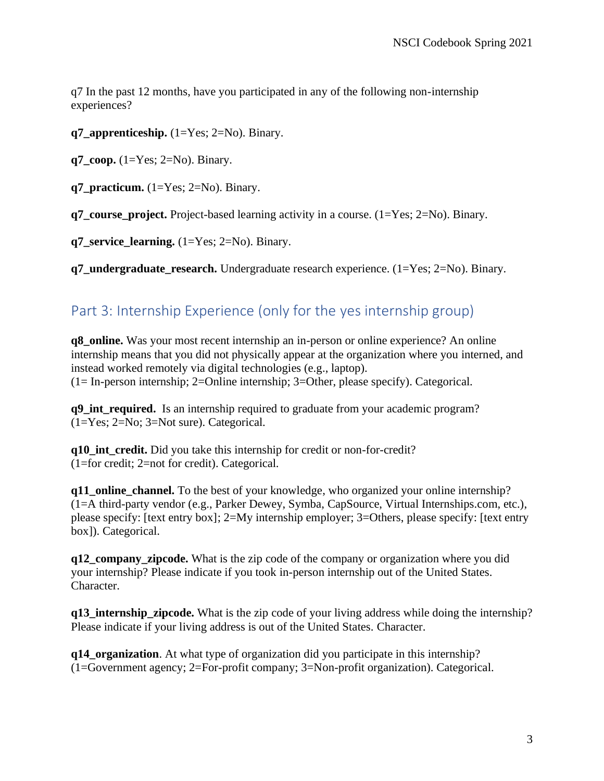q7 In the past 12 months, have you participated in any of the following non-internship experiences?

**q7\_apprenticeship.** (1=Yes; 2=No). Binary.

 $q7$  coop.  $(1=Yes; 2=No)$ . Binary.

**q7** practicum.  $(1=Yes; 2=No)$ . Binary.

**q7\_course\_project.** Project-based learning activity in a course. (1=Yes; 2=No). Binary.

**q7** service learning.  $(1=Yes; 2=No)$ . Binary.

**q7\_undergraduate\_research.** Undergraduate research experience. (1=Yes; 2=No). Binary.

# <span id="page-2-0"></span>Part 3: Internship Experience (only for the yes internship group)

**q8** online. Was your most recent internship an in-person or online experience? An online internship means that you did not physically appear at the organization where you interned, and instead worked remotely via digital technologies (e.g., laptop). (1= In-person internship; 2=Online internship; 3=Other, please specify). Categorical.

**q9 int required.** Is an internship required to graduate from your academic program? (1=Yes; 2=No; 3=Not sure). Categorical.

**q10\_int\_credit.** Did you take this internship for credit or non-for-credit? (1=for credit; 2=not for credit). Categorical.

**q11\_online\_channel.** To the best of your knowledge, who organized your online internship? (1=A third-party vendor (e.g., Parker Dewey, Symba, CapSource, Virtual Internships.com, etc.), please specify: [text entry box]; 2=My internship employer; 3=Others, please specify: [text entry box]). Categorical.

**q12\_company\_zipcode.** What is the zip code of the company or organization where you did your internship? Please indicate if you took in-person internship out of the United States. Character.

**q13\_internship\_zipcode.** What is the zip code of your living address while doing the internship? Please indicate if your living address is out of the United States. Character.

**q14\_organization**. At what type of organization did you participate in this internship? (1=Government agency; 2=For-profit company; 3=Non-profit organization). Categorical.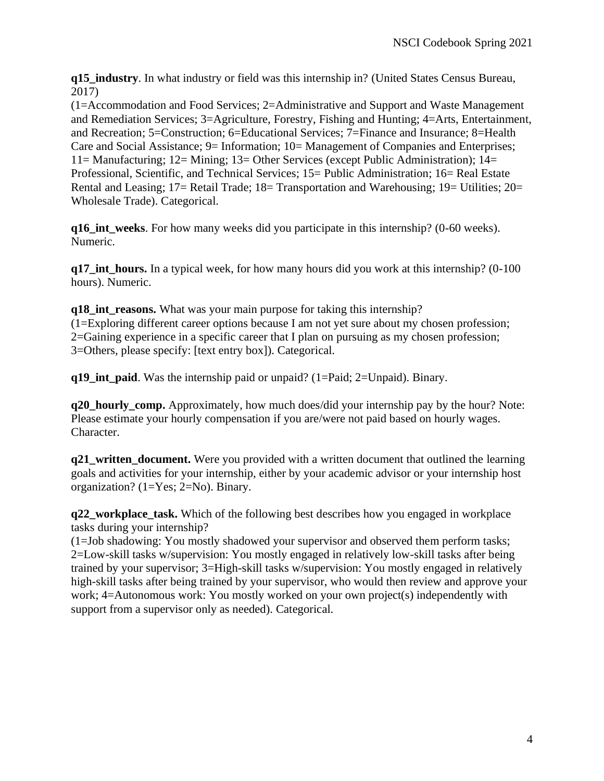**q15\_industry**. In what industry or field was this internship in? (United States Census Bureau, 2017)

(1=Accommodation and Food Services; 2=Administrative and Support and Waste Management and Remediation Services; 3=Agriculture, Forestry, Fishing and Hunting; 4=Arts, Entertainment, and Recreation; 5=Construction; 6=Educational Services; 7=Finance and Insurance; 8=Health Care and Social Assistance; 9= Information; 10= Management of Companies and Enterprises; 11= Manufacturing; 12= Mining; 13= Other Services (except Public Administration); 14= Professional, Scientific, and Technical Services; 15= Public Administration; 16= Real Estate Rental and Leasing; 17= Retail Trade; 18= Transportation and Warehousing; 19= Utilities; 20= Wholesale Trade). Categorical.

**q16\_int\_weeks**. For how many weeks did you participate in this internship? (0-60 weeks). Numeric.

**q17\_int\_hours.** In a typical week, for how many hours did you work at this internship? (0-100 hours). Numeric.

**q18\_int\_reasons.** What was your main purpose for taking this internship? (1=Exploring different career options because I am not yet sure about my chosen profession; 2=Gaining experience in a specific career that I plan on pursuing as my chosen profession; 3=Others, please specify: [text entry box]). Categorical.

**q19\_int\_paid**. Was the internship paid or unpaid? (1=Paid; 2=Unpaid). Binary.

**q20 hourly comp.** Approximately, how much does/did your internship pay by the hour? Note: Please estimate your hourly compensation if you are/were not paid based on hourly wages. Character.

**q21\_written\_document.** Were you provided with a written document that outlined the learning goals and activities for your internship, either by your academic advisor or your internship host organization? (1=Yes; 2=No). Binary.

**q22\_workplace\_task.** Which of the following best describes how you engaged in workplace tasks during your internship?

(1=Job shadowing: You mostly shadowed your supervisor and observed them perform tasks; 2=Low-skill tasks w/supervision: You mostly engaged in relatively low-skill tasks after being trained by your supervisor; 3=High-skill tasks w/supervision: You mostly engaged in relatively high-skill tasks after being trained by your supervisor, who would then review and approve your work; 4=Autonomous work: You mostly worked on your own project(s) independently with support from a supervisor only as needed). Categorical.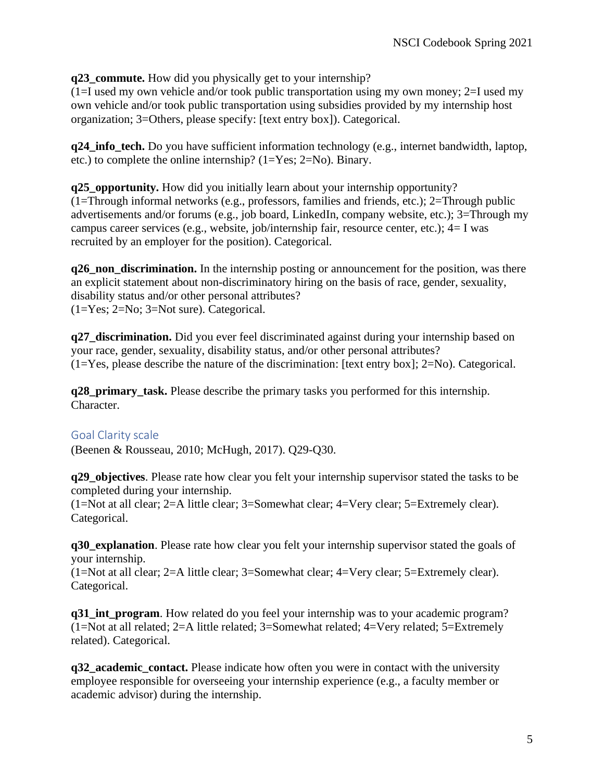**q23** commute. How did you physically get to your internship?

 $(1=I$  used my own vehicle and/or took public transportation using my own money; 2=I used my own vehicle and/or took public transportation using subsidies provided by my internship host organization; 3=Others, please specify: [text entry box]). Categorical.

**q24\_info\_tech.** Do you have sufficient information technology (e.g., internet bandwidth, laptop, etc.) to complete the online internship? (1=Yes; 2=No). Binary.

**q25** opportunity. How did you initially learn about your internship opportunity? (1=Through informal networks (e.g., professors, families and friends, etc.); 2=Through public advertisements and/or forums (e.g., job board, LinkedIn, company website, etc.); 3=Through my campus career services (e.g., website, job/internship fair, resource center, etc.); 4= I was recruited by an employer for the position). Categorical.

**q26** non discrimination. In the internship posting or announcement for the position, was there an explicit statement about non-discriminatory hiring on the basis of race, gender, sexuality, disability status and/or other personal attributes? (1=Yes; 2=No; 3=Not sure). Categorical.

**q27\_discrimination.** Did you ever feel discriminated against during your internship based on your race, gender, sexuality, disability status, and/or other personal attributes? (1=Yes, please describe the nature of the discrimination: [text entry box]; 2=No). Categorical.

**q28\_primary\_task.** Please describe the primary tasks you performed for this internship. Character.

## <span id="page-4-0"></span>Goal Clarity scale

(Beenen & Rousseau, 2010; McHugh, 2017). Q29-Q30.

**q29\_objectives**. Please rate how clear you felt your internship supervisor stated the tasks to be completed during your internship.

(1=Not at all clear; 2=A little clear; 3=Somewhat clear; 4=Very clear; 5=Extremely clear). Categorical.

**q30\_explanation**. Please rate how clear you felt your internship supervisor stated the goals of your internship.

(1=Not at all clear; 2=A little clear; 3=Somewhat clear; 4=Very clear; 5=Extremely clear). Categorical.

**q31\_int\_program**. How related do you feel your internship was to your academic program? (1=Not at all related; 2=A little related; 3=Somewhat related; 4=Very related; 5=Extremely related). Categorical.

**q32** academic contact. Please indicate how often you were in contact with the university employee responsible for overseeing your internship experience (e.g., a faculty member or academic advisor) during the internship.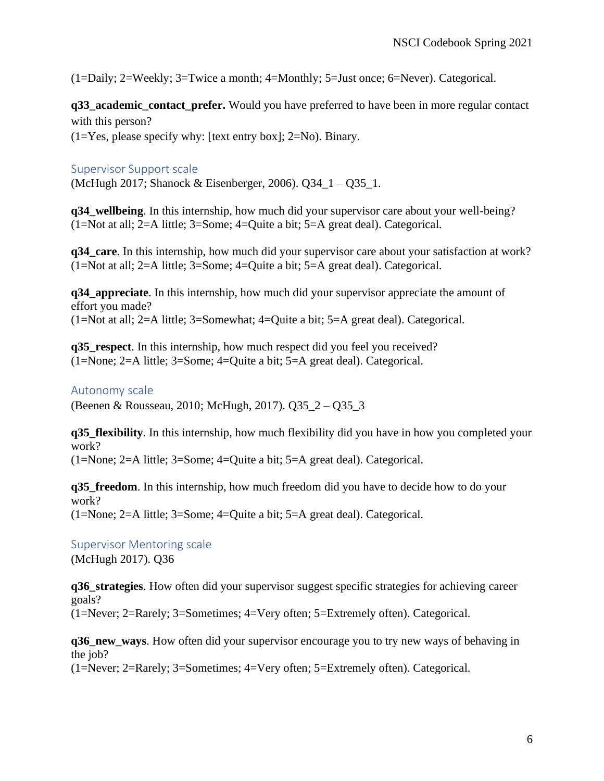(1=Daily; 2=Weekly; 3=Twice a month; 4=Monthly; 5=Just once; 6=Never). Categorical.

**q33\_academic\_contact\_prefer.** Would you have preferred to have been in more regular contact with this person?

 $(1=Yes,$  please specify why: [text entry box]; 2=No). Binary.

#### <span id="page-5-0"></span>Supervisor Support scale

(McHugh 2017; Shanock & Eisenberger, 2006). Q34\_1 – Q35\_1.

**q34\_wellbeing**. In this internship, how much did your supervisor care about your well-being? (1=Not at all; 2=A little; 3=Some; 4=Quite a bit; 5=A great deal). Categorical.

**q34** care. In this internship, how much did your supervisor care about your satisfaction at work? (1=Not at all; 2=A little; 3=Some; 4=Quite a bit; 5=A great deal). Categorical.

**q34\_appreciate**. In this internship, how much did your supervisor appreciate the amount of effort you made? (1=Not at all; 2=A little; 3=Somewhat; 4=Quite a bit; 5=A great deal). Categorical.

**q35\_respect**. In this internship, how much respect did you feel you received? (1=None; 2=A little; 3=Some; 4=Quite a bit; 5=A great deal). Categorical.

#### <span id="page-5-1"></span>Autonomy scale

(Beenen & Rousseau, 2010; McHugh, 2017). Q35\_2 – Q35\_3

**q35\_flexibility**. In this internship, how much flexibility did you have in how you completed your work?

(1=None; 2=A little; 3=Some; 4=Quite a bit; 5=A great deal). Categorical.

**q35\_freedom**. In this internship, how much freedom did you have to decide how to do your work? (1=None; 2=A little; 3=Some; 4=Quite a bit; 5=A great deal). Categorical.

<span id="page-5-2"></span>Supervisor Mentoring scale (McHugh 2017). Q36

**q36\_strategies**. How often did your supervisor suggest specific strategies for achieving career goals? (1=Never; 2=Rarely; 3=Sometimes; 4=Very often; 5=Extremely often). Categorical.

**q36\_new\_ways**. How often did your supervisor encourage you to try new ways of behaving in the job?

(1=Never; 2=Rarely; 3=Sometimes; 4=Very often; 5=Extremely often). Categorical.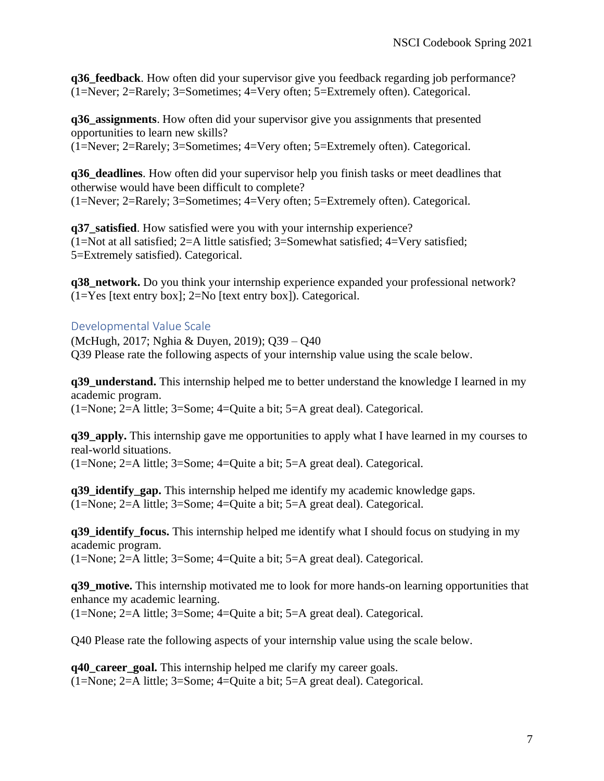**q36 feedback**. How often did your supervisor give you feedback regarding job performance? (1=Never; 2=Rarely; 3=Sometimes; 4=Very often; 5=Extremely often). Categorical.

**q36\_assignments**. How often did your supervisor give you assignments that presented opportunities to learn new skills? (1=Never; 2=Rarely; 3=Sometimes; 4=Very often; 5=Extremely often). Categorical.

**q36\_deadlines**. How often did your supervisor help you finish tasks or meet deadlines that otherwise would have been difficult to complete? (1=Never; 2=Rarely; 3=Sometimes; 4=Very often; 5=Extremely often). Categorical.

**q37\_satisfied**. How satisfied were you with your internship experience? (1=Not at all satisfied; 2=A little satisfied; 3=Somewhat satisfied; 4=Very satisfied; 5=Extremely satisfied). Categorical.

**q38 network.** Do you think your internship experience expanded your professional network?  $(1=Yes$  [text entry box];  $2=No$  [text entry box]). Categorical.

### <span id="page-6-0"></span>Developmental Value Scale

(McHugh, 2017; Nghia & Duyen, 2019); Q39 – Q40 Q39 Please rate the following aspects of your internship value using the scale below.

**q39\_understand.** This internship helped me to better understand the knowledge I learned in my academic program.

(1=None; 2=A little; 3=Some; 4=Quite a bit; 5=A great deal). Categorical.

**q39 apply.** This internship gave me opportunities to apply what I have learned in my courses to real-world situations.

(1=None; 2=A little; 3=Some; 4=Quite a bit; 5=A great deal). Categorical.

**q39\_identify\_gap.** This internship helped me identify my academic knowledge gaps. (1=None; 2=A little; 3=Some; 4=Quite a bit; 5=A great deal). Categorical.

**q39\_identify\_focus.** This internship helped me identify what I should focus on studying in my academic program.

(1=None; 2=A little; 3=Some; 4=Quite a bit; 5=A great deal). Categorical.

**q39\_motive.** This internship motivated me to look for more hands-on learning opportunities that enhance my academic learning.

(1=None; 2=A little; 3=Some; 4=Quite a bit; 5=A great deal). Categorical.

Q40 Please rate the following aspects of your internship value using the scale below.

**q40\_career\_goal.** This internship helped me clarify my career goals. (1=None; 2=A little; 3=Some; 4=Quite a bit; 5=A great deal). Categorical.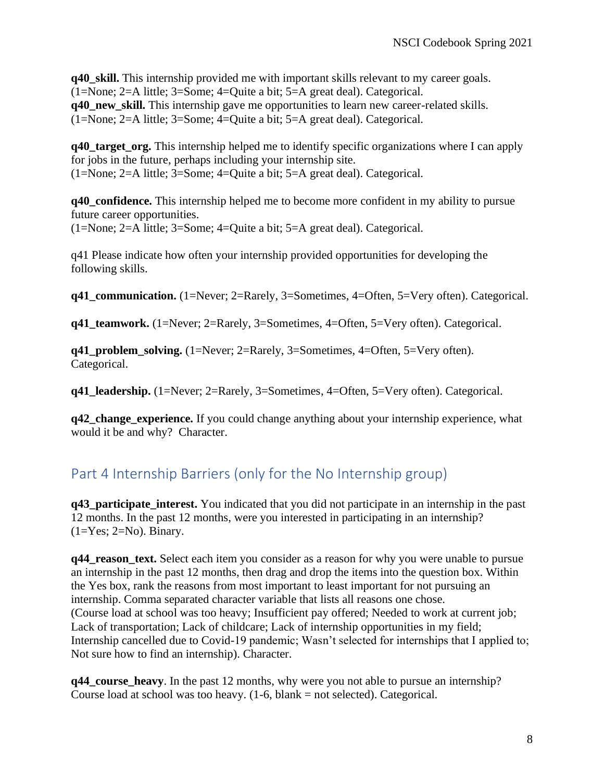**q40\_skill.** This internship provided me with important skills relevant to my career goals. (1=None; 2=A little; 3=Some; 4=Quite a bit; 5=A great deal). Categorical. **q40\_new\_skill.** This internship gave me opportunities to learn new career-related skills. (1=None; 2=A little; 3=Some; 4=Quite a bit; 5=A great deal). Categorical.

**q40\_target\_org.** This internship helped me to identify specific organizations where I can apply for jobs in the future, perhaps including your internship site. (1=None; 2=A little; 3=Some; 4=Quite a bit; 5=A great deal). Categorical.

**q40\_confidence.** This internship helped me to become more confident in my ability to pursue future career opportunities.

(1=None; 2=A little; 3=Some; 4=Quite a bit; 5=A great deal). Categorical.

q41 Please indicate how often your internship provided opportunities for developing the following skills.

**q41\_communication.** (1=Never; 2=Rarely, 3=Sometimes, 4=Often, 5=Very often). Categorical.

**q41 teamwork.** (1=Never; 2=Rarely, 3=Sometimes, 4=Often, 5=Very often). Categorical.

**q41\_problem\_solving.** (1=Never; 2=Rarely, 3=Sometimes, 4=Often, 5=Very often). Categorical.

**q41 leadership.** (1=Never; 2=Rarely, 3=Sometimes, 4=Often, 5=Very often). Categorical.

**q42\_change\_experience.** If you could change anything about your internship experience, what would it be and why? Character.

# <span id="page-7-0"></span>Part 4 Internship Barriers (only for the No Internship group)

**q43** participate interest. You indicated that you did not participate in an internship in the past 12 months. In the past 12 months, were you interested in participating in an internship?  $(1=Yes; 2=No)$ . Binary.

**q44\_reason\_text.** Select each item you consider as a reason for why you were unable to pursue an internship in the past 12 months, then drag and drop the items into the question box. Within the Yes box, rank the reasons from most important to least important for not pursuing an internship. Comma separated character variable that lists all reasons one chose. (Course load at school was too heavy; Insufficient pay offered; Needed to work at current job; Lack of transportation; Lack of childcare; Lack of internship opportunities in my field; Internship cancelled due to Covid-19 pandemic; Wasn't selected for internships that I applied to; Not sure how to find an internship). Character.

**q44** course heavy. In the past 12 months, why were you not able to pursue an internship? Course load at school was too heavy.  $(1-6, blank = not selected)$ . Categorical.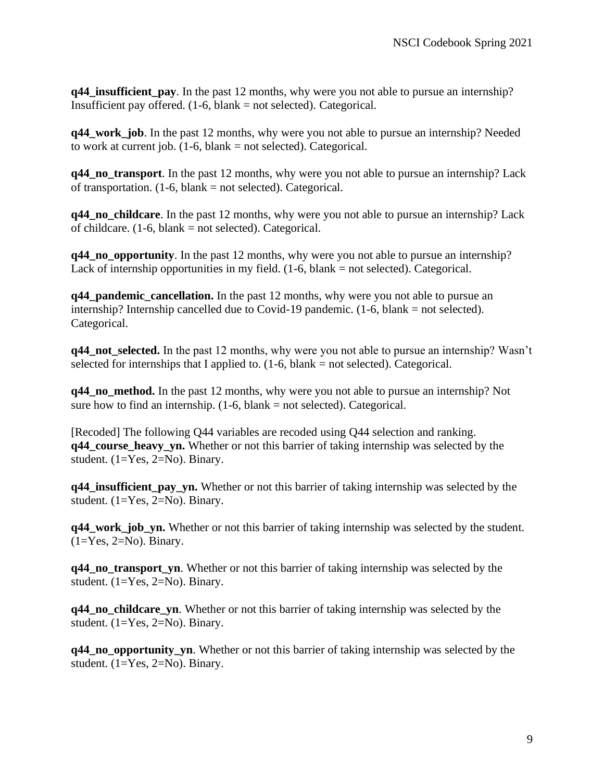**q44\_insufficient\_pay**. In the past 12 months, why were you not able to pursue an internship? Insufficient pay offered. (1-6, blank = not selected). Categorical.

**q44\_work\_job**. In the past 12 months, why were you not able to pursue an internship? Needed to work at current job.  $(1-6, blank = not selected)$ . Categorical.

**q44\_no\_transport**. In the past 12 months, why were you not able to pursue an internship? Lack of transportation.  $(1-6, blank = not selected)$ . Categorical.

**q44\_no\_childcare.** In the past 12 months, why were you not able to pursue an internship? Lack of childcare.  $(1-6, blank = not selected)$ . Categorical.

**q44\_no\_opportunity**. In the past 12 months, why were you not able to pursue an internship? Lack of internship opportunities in my field.  $(1-6, blank = not selected)$ . Categorical.

**q44\_pandemic\_cancellation.** In the past 12 months, why were you not able to pursue an internship? Internship cancelled due to Covid-19 pandemic. (1-6, blank = not selected). Categorical.

**q44** not selected. In the past 12 months, why were you not able to pursue an internship? Wasn't selected for internships that I applied to.  $(1-6, blank = not selected)$ . Categorical.

**q44\_no\_method.** In the past 12 months, why were you not able to pursue an internship? Not sure how to find an internship.  $(1-6, blank = not selected)$ . Categorical.

[Recoded] The following Q44 variables are recoded using Q44 selection and ranking. **q44\_course\_heavy\_yn.** Whether or not this barrier of taking internship was selected by the student. (1=Yes, 2=No). Binary.

**q44\_insufficient\_pay\_yn.** Whether or not this barrier of taking internship was selected by the student. (1=Yes, 2=No). Binary.

**q44\_work\_job\_yn.** Whether or not this barrier of taking internship was selected by the student.  $(1=Yes, 2=No)$ . Binary.

**q44\_no\_transport\_yn**. Whether or not this barrier of taking internship was selected by the student. (1=Yes, 2=No). Binary.

**q44\_no\_childcare\_yn**. Whether or not this barrier of taking internship was selected by the student. (1=Yes, 2=No). Binary.

**q44\_no\_opportunity\_yn**. Whether or not this barrier of taking internship was selected by the student. (1=Yes, 2=No). Binary.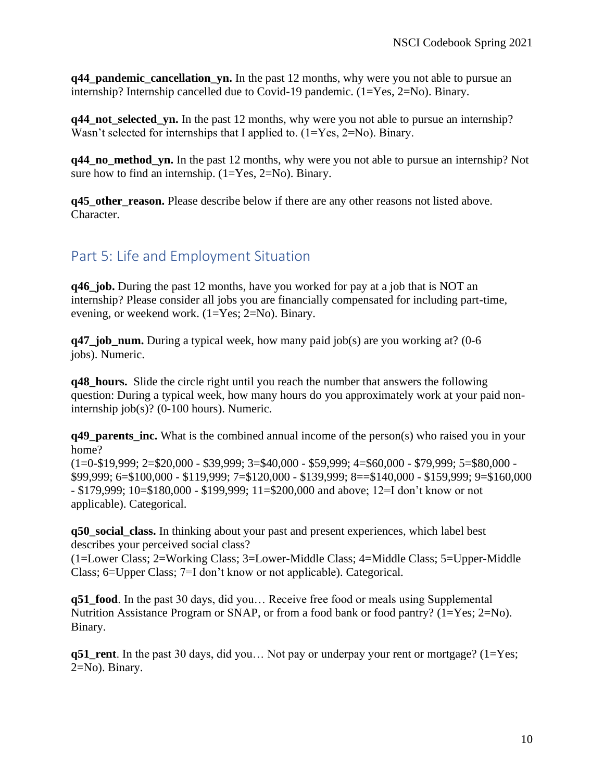**q44 pandemic cancellation yn.** In the past 12 months, why were you not able to pursue an internship? Internship cancelled due to Covid-19 pandemic. (1=Yes, 2=No). Binary.

**q44\_not\_selected\_yn.** In the past 12 months, why were you not able to pursue an internship? Wasn't selected for internships that I applied to.  $(1=Yes, 2=No)$ . Binary.

**q44\_no\_method\_yn.** In the past 12 months, why were you not able to pursue an internship? Not sure how to find an internship.  $(1=Yes, 2=No)$ . Binary.

**q45** other reason. Please describe below if there are any other reasons not listed above. Character.

## <span id="page-9-0"></span>Part 5: Life and Employment Situation

**q46\_job.** During the past 12 months, have you worked for pay at a job that is NOT an internship? Please consider all jobs you are financially compensated for including part-time, evening, or weekend work. (1=Yes; 2=No). Binary.

**q47** job num. During a typical week, how many paid job(s) are you working at? (0-6 jobs). Numeric.

**q48\_hours.** Slide the circle right until you reach the number that answers the following question: During a typical week, how many hours do you approximately work at your paid noninternship job(s)? (0-100 hours). Numeric.

**q49 parents inc.** What is the combined annual income of the person(s) who raised you in your home?

(1=0-\$19,999; 2=\$20,000 - \$39,999; 3=\$40,000 - \$59,999; 4=\$60,000 - \$79,999; 5=\$80,000 - \$99,999; 6=\$100,000 - \$119,999; 7=\$120,000 - \$139,999; 8==\$140,000 - \$159,999; 9=\$160,000 - \$179,999; 10=\$180,000 - \$199,999; 11=\$200,000 and above; 12=I don't know or not applicable). Categorical.

**q50\_social\_class.** In thinking about your past and present experiences, which label best describes your perceived social class?

(1=Lower Class; 2=Working Class; 3=Lower-Middle Class; 4=Middle Class; 5=Upper-Middle Class; 6=Upper Class; 7=I don't know or not applicable). Categorical.

**q51\_food**. In the past 30 days, did you… Receive free food or meals using Supplemental Nutrition Assistance Program or SNAP, or from a food bank or food pantry? (1=Yes; 2=No). Binary.

**q51\_rent**. In the past 30 days, did you… Not pay or underpay your rent or mortgage? (1=Yes; 2=No). Binary.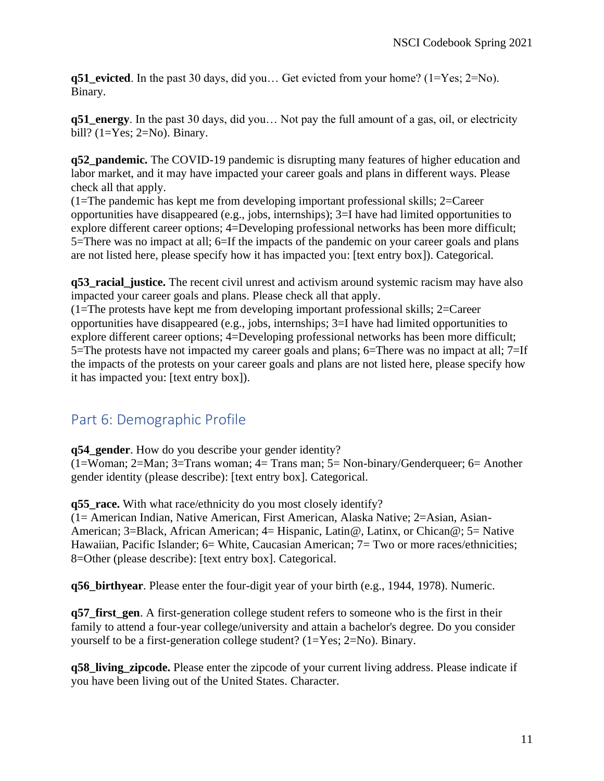**q51\_evicted**. In the past 30 days, did you… Get evicted from your home? (1=Yes; 2=No). Binary.

**q51\_energy**. In the past 30 days, did you… Not pay the full amount of a gas, oil, or electricity bill?  $(1=Yes; 2=No)$ . Binary.

**q52\_pandemic.** The COVID-19 pandemic is disrupting many features of higher education and labor market, and it may have impacted your career goals and plans in different ways. Please check all that apply.

(1=The pandemic has kept me from developing important professional skills; 2=Career opportunities have disappeared (e.g., jobs, internships); 3=I have had limited opportunities to explore different career options; 4=Developing professional networks has been more difficult; 5=There was no impact at all; 6=If the impacts of the pandemic on your career goals and plans are not listed here, please specify how it has impacted you: [text entry box]). Categorical.

**q53** racial justice. The recent civil unrest and activism around systemic racism may have also impacted your career goals and plans. Please check all that apply.

(1=The protests have kept me from developing important professional skills; 2=Career opportunities have disappeared (e.g., jobs, internships; 3=I have had limited opportunities to explore different career options; 4=Developing professional networks has been more difficult; 5=The protests have not impacted my career goals and plans; 6=There was no impact at all; 7=If the impacts of the protests on your career goals and plans are not listed here, please specify how it has impacted you: [text entry box]).

# <span id="page-10-0"></span>Part 6: Demographic Profile

**q54\_gender**. How do you describe your gender identity?

(1=Woman; 2=Man; 3=Trans woman; 4= Trans man; 5= Non-binary/Genderqueer; 6= Another gender identity (please describe): [text entry box]. Categorical.

**q55** race. With what race/ethnicity do you most closely identify?

(1= American Indian, Native American, First American, Alaska Native; 2=Asian, Asian-American; 3=Black, African American; 4= Hispanic, Latin@, Latinx, or Chican@; 5= Native Hawaiian, Pacific Islander; 6= White, Caucasian American; 7= Two or more races/ethnicities; 8=Other (please describe): [text entry box]. Categorical.

**q56\_birthyear**. Please enter the four-digit year of your birth (e.g., 1944, 1978). Numeric.

**q57\_first\_gen**. A first-generation college student refers to someone who is the first in their family to attend a four-year college/university and attain a bachelor's degree. Do you consider yourself to be a first-generation college student? (1=Yes; 2=No). Binary.

**q58\_living\_zipcode.** Please enter the zipcode of your current living address. Please indicate if you have been living out of the United States. Character.